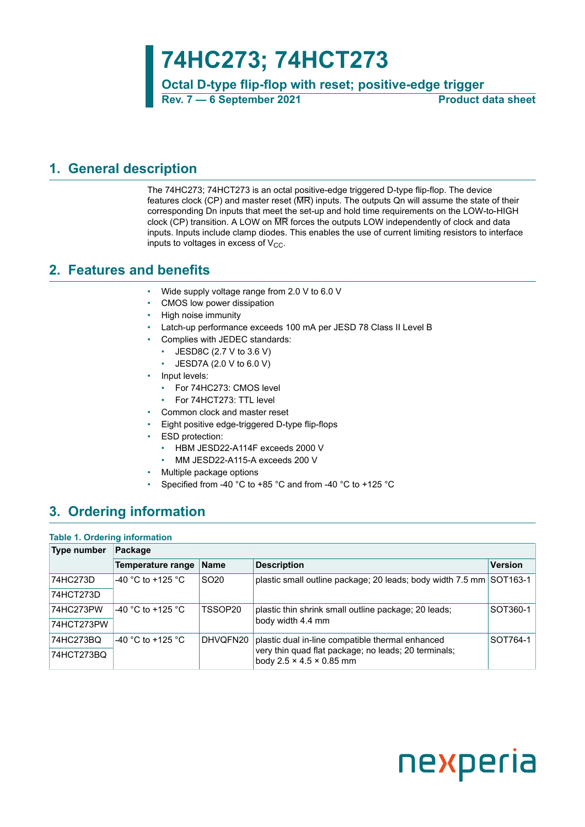# **74HC273; 74HCT273**

**Octal D-type flip-flop with reset; positive-edge trigger Rev. 7 — 6 September 2021 Product data sheet**

# <span id="page-0-1"></span>**1. General description**

The 74HC273; 74HCT273 is an octal positive-edge triggered D-type flip-flop. The device features clock (CP) and master reset (MR) inputs. The outputs Qn will assume the state of their corresponding Dn inputs that meet the set-up and hold time requirements on the LOW-to-HIGH clock (CP) transition. A LOW on MR forces the outputs LOW independently of clock and data inputs. Inputs include clamp diodes. This enables the use of current limiting resistors to interface inputs to voltages in excess of  $V_{CC}$ .

# <span id="page-0-0"></span>**2. Features and benefits**

- Wide supply voltage range from 2.0 V to 6.0 V
- CMOS low power dissipation
- High noise immunity
- Latch-up performance exceeds 100 mA per JESD 78 Class II Level B
- Complies with JEDEC standards:
	- JESD8C (2.7 V to 3.6 V)
	- JESD7A (2.0 V to 6.0 V)
- Input levels:
	- For 74HC273: CMOS level
	- For 74HCT273: TTL level
- Common clock and master reset
- Eight positive edge-triggered D-type flip-flops
- ESD protection:
	- HBM JESD22-A114F exceeds 2000 V
	- MM JESD22-A115-A exceeds 200 V
- Multiple package options
- Specified from -40 °C to +85 °C and from -40 °C to +125 °C

# <span id="page-0-2"></span>**3. Ordering information**

#### **Table 1. Ordering information**

| <b>Type number</b> | Package           |                  |                                                                                              |                |  |  |  |  |  |  |  |  |
|--------------------|-------------------|------------------|----------------------------------------------------------------------------------------------|----------------|--|--|--|--|--|--|--|--|
|                    | Temperature range | <b>Name</b>      | <b>Description</b>                                                                           | <b>Version</b> |  |  |  |  |  |  |  |  |
| 74HC273D           | -40 °C to +125 °C | SO <sub>20</sub> | plastic small outline package; 20 leads; body width 7.5 mm SOT163-1                          |                |  |  |  |  |  |  |  |  |
| 74HCT273D          |                   |                  |                                                                                              |                |  |  |  |  |  |  |  |  |
| 74HC273PW          | -40 °C to +125 °C | TSSOP20          | plastic thin shrink small outline package; 20 leads;                                         | SOT360-1       |  |  |  |  |  |  |  |  |
| 74HCT273PW         |                   |                  | body width 4.4 mm                                                                            |                |  |  |  |  |  |  |  |  |
| 74HC273BQ          | -40 °C to +125 °C | DHVQFN20         | plastic dual in-line compatible thermal enhanced                                             | SOT764-1       |  |  |  |  |  |  |  |  |
| 74HCT273BQ         |                   |                  | very thin quad flat package; no leads; 20 terminals;<br>body $2.5 \times 4.5 \times 0.85$ mm |                |  |  |  |  |  |  |  |  |

# nexperia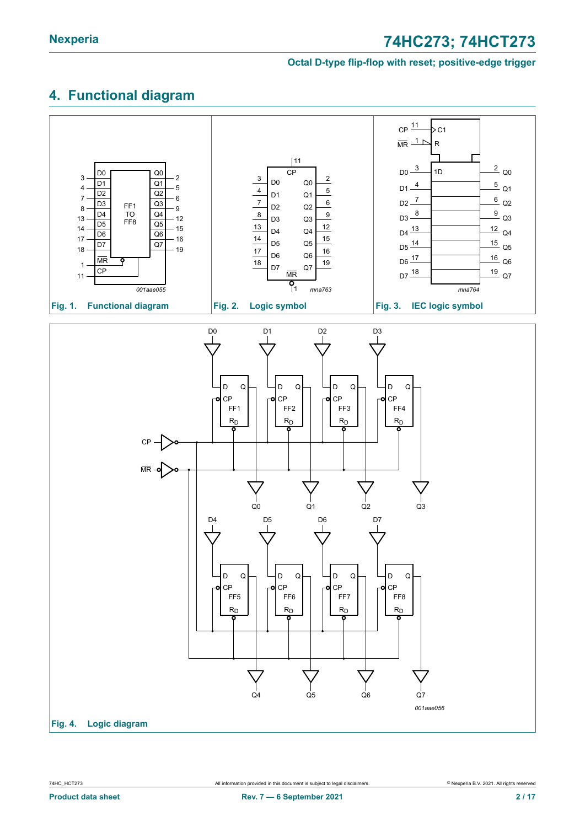# <span id="page-1-0"></span>**4. Functional diagram**

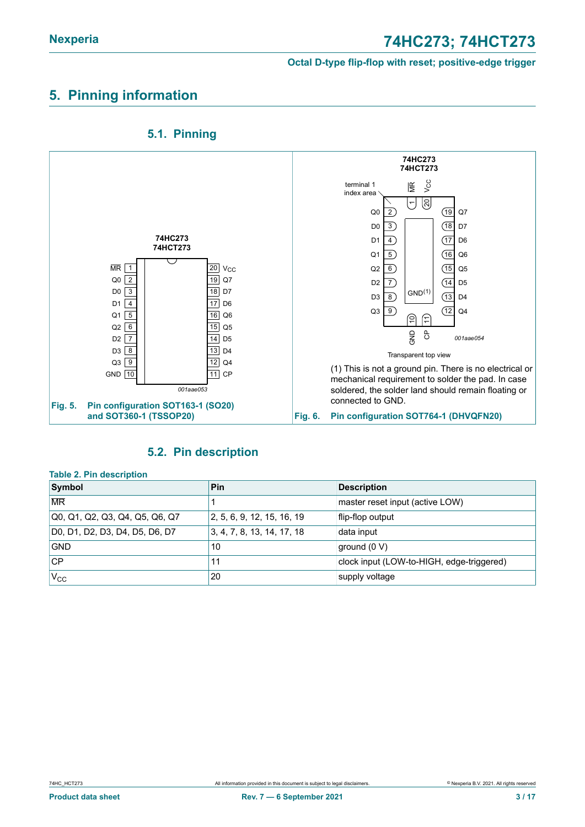# <span id="page-2-0"></span>**5. Pinning information**



# <span id="page-2-1"></span>**5.1. Pinning**

# <span id="page-2-2"></span>**5.2. Pin description**

| Symbol                         | Pin                                      | <b>Description</b>                        |
|--------------------------------|------------------------------------------|-------------------------------------------|
| <b>MR</b>                      |                                          | master reset input (active LOW)           |
| Q0, Q1, Q2, Q3, Q4, Q5, Q6, Q7 | $\vert 2, 5, 6, 9, 12, 15, 16, 19 \vert$ | flip-flop output                          |
| D0, D1, D2, D3, D4, D5, D6, D7 | 3, 4, 7, 8, 13, 14, 17, 18               | data input                                |
| <b>GND</b>                     | 10                                       | ground (0 V)                              |
| <b>CP</b>                      | 11                                       | clock input (LOW-to-HIGH, edge-triggered) |
| V <sub>CC</sub>                | 20                                       | supply voltage                            |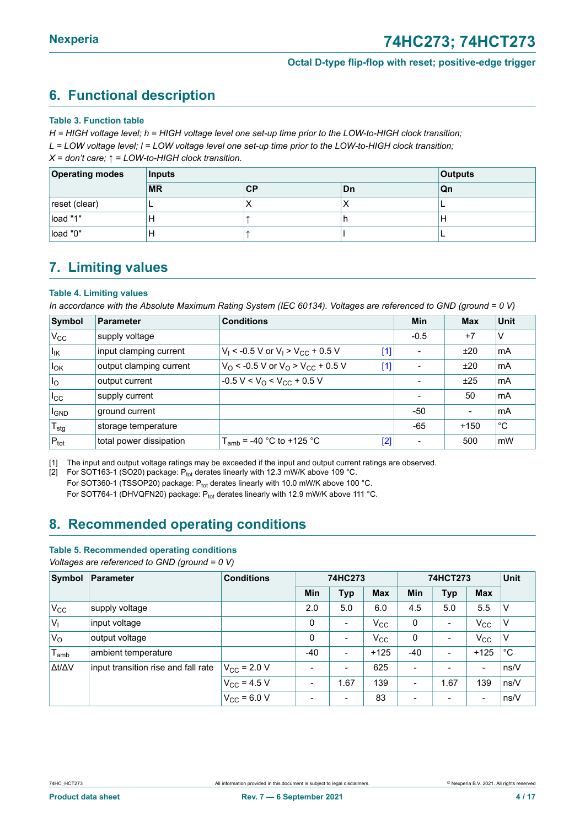# <span id="page-3-2"></span><span id="page-3-0"></span>**6. Functional description**

#### **Table 3. Function table**

*H = HIGH voltage level; h = HIGH voltage level one set-up time prior to the LOW-to-HIGH clock transition;*

*L = LOW voltage level; l = LOW voltage level one set-up time prior to the LOW-to-HIGH clock transition;*

*X = don't care; ↑ = LOW-to-HIGH clock transition.*

| <b>Operating modes</b> | Inputs    | <b>Outputs</b> |     |    |
|------------------------|-----------|----------------|-----|----|
|                        | <b>MR</b> | CP             | Dn. | Qn |
| reset (clear)          |           | ↗              | ↗   |    |
| load "1"               |           |                |     | Ħ  |
| load "0"               |           |                |     |    |

# <span id="page-3-3"></span>**7. Limiting values**

#### <span id="page-3-1"></span>**Table 4. Limiting values**

In accordance with the Absolute Maximum Rating System (IEC 60134). Voltages are referenced to GND (ground = 0 V)

| Symbol           | <b>Parameter</b>        | <b>Conditions</b>                                          |       | <b>Min</b>               | <b>Max</b>               | <b>Unit</b>   |
|------------------|-------------------------|------------------------------------------------------------|-------|--------------------------|--------------------------|---------------|
| $V_{CC}$         | supply voltage          |                                                            |       | $-0.5$                   | $+7$                     | v             |
| $I_{IK}$         | input clamping current  | $V_1$ < -0.5 V or $V_1$ > $V_{CC}$ + 0.5 V                 | $[1]$ |                          | ±20                      | mA            |
| $I_{OK}$         | output clamping current | $V_{\rm O}$ < -0.5 V or $V_{\rm O}$ > $V_{\rm CC}$ + 0.5 V | $[1]$ | $\overline{\phantom{0}}$ | ±20                      | mA            |
| $I_{\rm O}$      | output current          | $-0.5 V < VO < VCC + 0.5 V$                                |       |                          | ±25                      | mA            |
| $I_{\rm CC}$     | supply current          |                                                            |       |                          | 50                       | mA            |
| <b>I</b> GND     | ground current          |                                                            |       | -50                      | $\overline{\phantom{a}}$ | mA            |
| $T_{\text{stg}}$ | storage temperature     |                                                            |       | $-65$                    | $+150$                   | $^{\circ}C$   |
| $P_{\text{tot}}$ | total power dissipation | $T_{amb}$ = -40 °C to +125 °C                              | $[2]$ | $\overline{\phantom{a}}$ | 500                      | $\mathsf{mW}$ |

[1] The input and output voltage ratings may be exceeded if the input and output current ratings are observed.

[2] For SOT163-1 (SO20) package:  $\overline{P_{\text{tot}}}$  derates linearly with 12.3 mW/K above 109 °C.

For SOT360-1 (TSSOP20) package: Ptot derates linearly with 10.0 mW/K above 100 °C.

For SOT764-1 (DHVQFN20) package: P<sub>tot</sub> derates linearly with 12.9 mW/K above 111 °C.

# <span id="page-3-4"></span>**8. Recommended operating conditions**

#### **Table 5. Recommended operating conditions**

*Voltages are referenced to GND (ground = 0 V)*

| Symbol              | Parameter                           | <b>Conditions</b>    | 74HC273                  |                          |              | 74HCT273                 | Unit                     |                          |      |
|---------------------|-------------------------------------|----------------------|--------------------------|--------------------------|--------------|--------------------------|--------------------------|--------------------------|------|
|                     |                                     |                      | Min                      | <b>Typ</b>               | <b>Max</b>   | Min                      | <b>Typ</b>               | <b>Max</b>               |      |
| $V_{\rm CC}$        | supply voltage                      |                      | 2.0                      | 5.0                      | 6.0          | 4.5                      | 5.0                      | 5.5                      | ΙV   |
| $ V_1$              | input voltage                       |                      | 0                        | $\overline{\phantom{a}}$ | $V_{\rm CC}$ | 0                        | $\overline{\phantom{a}}$ | $V_{\rm CC}$             | ΙV   |
| 'V <sub>o</sub>     | output voltage                      |                      | 0                        | $\overline{\phantom{0}}$ | $V_{\rm CC}$ | 0                        | $\overline{\phantom{a}}$ | $V_{\rm CC}$             | ΙV   |
| $T_{amb}$           | ambient temperature                 |                      | $-40$                    | $\overline{\phantom{a}}$ | $+125$       | $-40$                    | $\overline{\phantom{a}}$ | $+125$                   | °С   |
| $\Delta t/\Delta V$ | input transition rise and fall rate | $V_{\rm CC}$ = 2.0 V | $\overline{\phantom{a}}$ | $\overline{\phantom{a}}$ | 625          | $\overline{\phantom{a}}$ | -                        | $\overline{\phantom{0}}$ | ns/V |
|                     |                                     | $V_{\rm CC}$ = 4.5 V | $\blacksquare$           | 1.67                     | 139          | $\blacksquare$           | 1.67                     | 139                      | ns/V |
|                     |                                     | $V_{CC}$ = 6.0 V     | $\overline{\phantom{a}}$ | $\overline{\phantom{a}}$ | 83           | $\overline{\phantom{a}}$ | $\overline{\phantom{a}}$ | -                        | ns/V |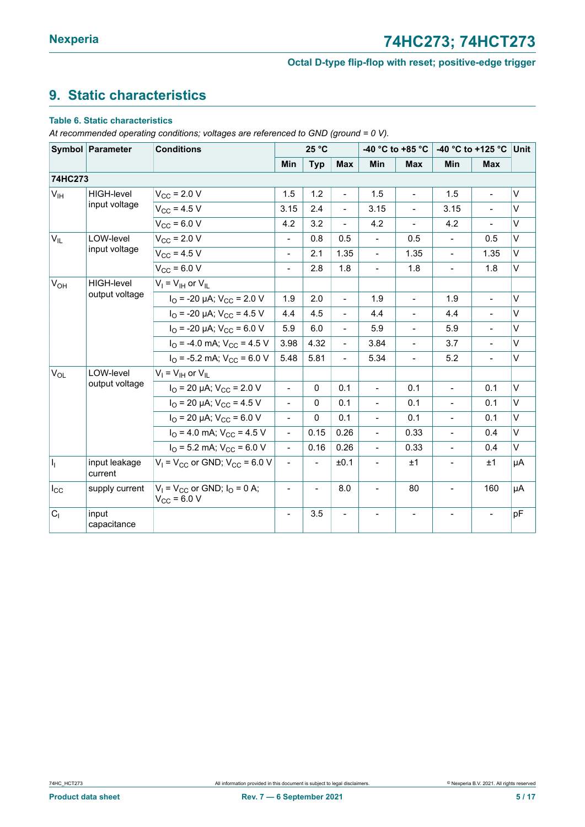# <span id="page-4-0"></span>**9. Static characteristics**

#### **Table 6. Static characteristics**

*At recommended operating conditions; voltages are referenced to GND (ground = 0 V).*

|                 | Symbol Parameter         | <b>Conditions</b>                                       | 25 °C                    |                |                          | -40 $^{\circ}$ C to +85 $^{\circ}$ C |                          | -40 °C to +125 °C Unit   |                          |        |
|-----------------|--------------------------|---------------------------------------------------------|--------------------------|----------------|--------------------------|--------------------------------------|--------------------------|--------------------------|--------------------------|--------|
|                 |                          |                                                         | <b>Min</b>               | <b>Typ</b>     | <b>Max</b>               | Min                                  | <b>Max</b>               | <b>Min</b>               | <b>Max</b>               |        |
| 74HC273         |                          |                                                         |                          |                |                          |                                      |                          |                          |                          |        |
| $V_{\text{IH}}$ | <b>HIGH-level</b>        | $V_{CC}$ = 2.0 V                                        | 1.5                      | 1.2            | $\blacksquare$           | 1.5                                  | $\overline{\phantom{a}}$ | 1.5                      | $\blacksquare$           | $\vee$ |
|                 | input voltage            | $V_{CC}$ = 4.5 V                                        | 3.15                     | 2.4            |                          | 3.15                                 |                          | 3.15                     |                          | $\vee$ |
|                 |                          | $V_{CC}$ = 6.0 V                                        | 4.2                      | 3.2            | $\overline{a}$           | 4.2                                  | $\overline{a}$           | 4.2                      | $\overline{a}$           | $\vee$ |
| $V_{IL}$        | LOW-level                | $V_{CC}$ = 2.0 V                                        | $\overline{\phantom{0}}$ | 0.8            | 0.5                      | $\blacksquare$                       | 0.5                      |                          | 0.5                      | $\vee$ |
|                 | input voltage            | $V_{CC}$ = 4.5 V                                        | $\overline{\phantom{a}}$ | 2.1            | 1.35                     | $\overline{\phantom{a}}$             | 1.35                     | $\blacksquare$           | 1.35                     | V      |
|                 |                          | $V_{CC}$ = 6.0 V                                        | $\overline{\phantom{a}}$ | 2.8            | 1.8                      | $\overline{\phantom{a}}$             | 1.8                      | $\overline{\phantom{a}}$ | 1.8                      | V      |
| V <sub>OH</sub> | <b>HIGH-level</b>        | $V_I = V_{IH}$ or $V_{IL}$                              |                          |                |                          |                                      |                          |                          |                          |        |
|                 | output voltage           | $I_{\Omega}$ = -20 µA; $V_{\text{CC}}$ = 2.0 V          | 1.9                      | 2.0            | $\blacksquare$           | 1.9                                  | $\blacksquare$           | 1.9                      | $\blacksquare$           | $\vee$ |
|                 |                          | $I_{\text{O}}$ = -20 µA; $V_{\text{CC}}$ = 4.5 V        | 4.4                      | 4.5            | $\blacksquare$           | 4.4                                  | $\overline{\phantom{0}}$ | 4.4                      | $\overline{\phantom{0}}$ | V      |
|                 |                          | $I_{\text{O}}$ = -20 µA; $V_{\text{CC}}$ = 6.0 V        | 5.9                      | 6.0            | $\overline{a}$           | 5.9                                  | $\overline{\phantom{0}}$ | 5.9                      |                          | $\vee$ |
|                 |                          | $I_{\Omega}$ = -4.0 mA; $V_{\text{CC}}$ = 4.5 V         | 3.98                     | 4.32           | $\blacksquare$           | 3.84                                 | $\overline{\phantom{0}}$ | 3.7                      | $\blacksquare$           | $\vee$ |
|                 |                          | $I_{\Omega}$ = -5.2 mA; $V_{\text{CC}}$ = 6.0 V         | 5.48                     | 5.81           | $\overline{\phantom{a}}$ | 5.34                                 | $\overline{\phantom{0}}$ | 5.2                      | $\blacksquare$           | V      |
| $V_{OL}$        | LOW-level                | $V_I = V_{IH}$ or $V_{IL}$                              |                          |                |                          |                                      |                          |                          |                          |        |
|                 | output voltage           | $I_{\Omega}$ = 20 µA; $V_{\text{CC}}$ = 2.0 V           | $\blacksquare$           | $\Omega$       | 0.1                      | $\blacksquare$                       | 0.1                      | $\blacksquare$           | 0.1                      | $\vee$ |
|                 |                          | $I_{\Omega}$ = 20 µA; $V_{\text{CC}}$ = 4.5 V           |                          | 0              | 0.1                      | $\overline{\phantom{a}}$             | 0.1                      |                          | 0.1                      | V      |
|                 |                          | $I_{\Omega}$ = 20 µA; $V_{CC}$ = 6.0 V                  | $\overline{a}$           | 0              | 0.1                      | $\blacksquare$                       | 0.1                      |                          | 0.1                      | $\vee$ |
|                 |                          | $IO$ = 4.0 mA; $VCC$ = 4.5 V                            | $\blacksquare$           | 0.15           | 0.26                     | $\blacksquare$                       | 0.33                     |                          | 0.4                      | V      |
|                 |                          | $I_{\text{O}}$ = 5.2 mA; $V_{\text{CC}}$ = 6.0 V        | $\blacksquare$           | 0.16           | 0.26                     | $\overline{a}$                       | 0.33                     | $\overline{a}$           | 0.4                      | $\vee$ |
| h               | input leakage<br>current | $V_1$ = $V_{CC}$ or GND; $V_{CC}$ = 6.0 V               |                          |                | ±0.1                     | $\frac{1}{2}$                        | ±1                       |                          | ±1                       | μA     |
| $I_{\rm CC}$    | supply current           | $V_1 = V_{CC}$ or GND; $I_Q = 0$ A;<br>$V_{CC}$ = 6.0 V | $\overline{a}$           | $\blacksquare$ | 8.0                      | $\overline{\phantom{a}}$             | 80                       |                          | 160                      | μA     |
| C <sub>1</sub>  | input<br>capacitance     |                                                         | $\overline{\phantom{a}}$ | 3.5            | $\overline{\phantom{a}}$ |                                      |                          |                          |                          | pF     |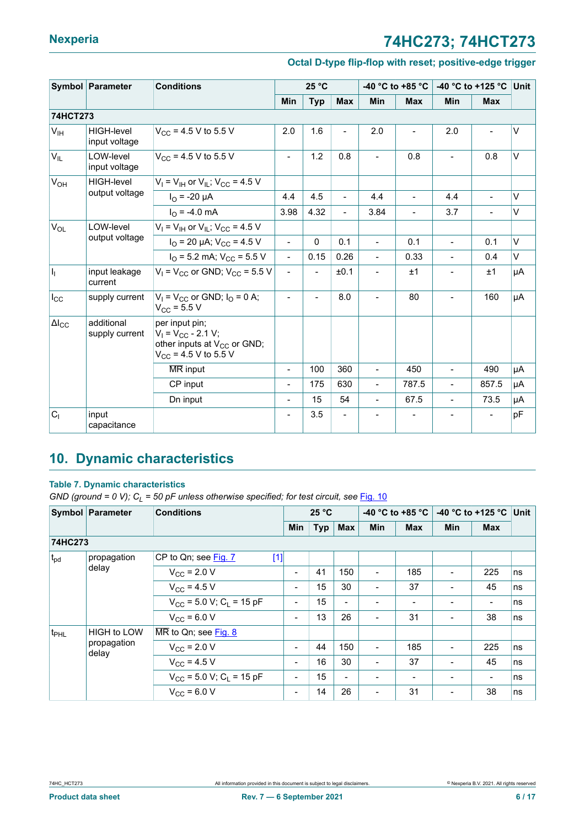|                       | Symbol Parameter                   | <b>Conditions</b>                                                                                                  |                          | 25 °C      |                | -40 °C to +85 °C $\vert$ |                          | -40 °C to +125 °C Unit |                          |        |
|-----------------------|------------------------------------|--------------------------------------------------------------------------------------------------------------------|--------------------------|------------|----------------|--------------------------|--------------------------|------------------------|--------------------------|--------|
|                       |                                    |                                                                                                                    | Min                      | <b>Typ</b> | Max            | Min                      | <b>Max</b>               | Min                    | <b>Max</b>               |        |
| 74HCT273              |                                    |                                                                                                                    |                          |            |                |                          |                          |                        |                          |        |
| V <sub>IH</sub>       | <b>HIGH-level</b><br>input voltage | $V_{CC}$ = 4.5 V to 5.5 V                                                                                          | 2.0                      | 1.6        |                | 2.0                      |                          | 2.0                    |                          | $\vee$ |
| $V_{IL}$              | LOW-level<br>input voltage         | $V_{CC}$ = 4.5 V to 5.5 V                                                                                          | $\overline{\phantom{0}}$ | 1.2        | 0.8            | $\blacksquare$           | 0.8                      | $\overline{a}$         | 0.8                      | V      |
| $ V_{OH} $            | <b>HIGH-level</b>                  | $V_1$ = $V_{1H}$ or $V_{1I}$ ; $V_{CC}$ = 4.5 V                                                                    |                          |            |                |                          |                          |                        |                          |        |
|                       | output voltage                     | $I_0 = -20 \mu A$                                                                                                  | 4.4                      | 4.5        | $\blacksquare$ | 4.4                      | $\overline{\phantom{0}}$ | 4.4                    | $\blacksquare$           | $\vee$ |
|                       |                                    | $I_{\Omega}$ = -4.0 mA                                                                                             | 3.98                     | 4.32       | $\blacksquare$ | 3.84                     | $\overline{\phantom{0}}$ | 3.7                    | $\overline{\phantom{0}}$ | V      |
| $V_{OL}$              | LOW-level                          | $V_1 = V_{1H}$ or $V_{1L}$ ; $V_{CC} = 4.5$ V                                                                      |                          |            |                |                          |                          |                        |                          |        |
|                       | output voltage                     | $I_{\Omega}$ = 20 µA; V <sub>CC</sub> = 4.5 V                                                                      | $\blacksquare$           | $\Omega$   | 0.1            | $\blacksquare$           | 0.1                      | $\blacksquare$         | 0.1                      | $\vee$ |
|                       |                                    | $I_{\Omega}$ = 5.2 mA; $V_{\text{CC}}$ = 5.5 V                                                                     | $\blacksquare$           | 0.15       | 0.26           | $\blacksquare$           | 0.33                     |                        | 0.4                      | V      |
| h                     | input leakage<br>current           | $V_1$ = $V_{CC}$ or GND; $V_{CC}$ = 5.5 V                                                                          |                          |            | ±0.1           | $\blacksquare$           | ±1                       |                        | ±1                       | μA     |
| $I_{\rm CC}$          | supply current                     | $V_1 = V_{CC}$ or GND; $I_Q = 0$ A;<br>$V_{CC}$ = 5.5 V                                                            |                          |            | 8.0            | $\blacksquare$           | 80                       |                        | 160                      | μA     |
| $ \Delta I_{\rm CC} $ | additional<br>supply current       | per input pin;<br>$V_1 = V_{CC} - 2.1 V$ ;<br>other inputs at V <sub>CC</sub> or GND;<br>$V_{CC}$ = 4.5 V to 5.5 V |                          |            |                |                          |                          |                        |                          |        |
|                       |                                    | MR input                                                                                                           |                          | 100        | 360            | $\blacksquare$           | 450                      |                        | 490                      | μA     |
|                       |                                    | CP input                                                                                                           |                          | 175        | 630            | $\blacksquare$           | 787.5                    |                        | 857.5                    | μA     |
|                       |                                    | Dn input                                                                                                           |                          | 15         | 54             | $\blacksquare$           | 67.5                     |                        | 73.5                     | μA     |
| $ C_1 $               | input<br>capacitance               |                                                                                                                    |                          | 3.5        |                |                          |                          |                        |                          | pF     |

# **Octal D-type flip-flop with reset; positive-edge trigger**

# <span id="page-5-0"></span>**10. Dynamic characteristics**

#### **Table 7. Dynamic characteristics**

*GND (ground = 0 V); C<sub>L</sub> = 50 pF unless otherwise specified; for test circuit, see [Fig. 10](#page-10-0)* 

|                   | Symbol Parameter     | <b>Conditions</b>                        | 25 °C                    |            |                          | -40 °C to +85 °C $\vert$ | -40 °C to +125 °C Unit |                          |                          |           |
|-------------------|----------------------|------------------------------------------|--------------------------|------------|--------------------------|--------------------------|------------------------|--------------------------|--------------------------|-----------|
|                   |                      |                                          | Min                      | <b>Typ</b> | Max                      | <b>Min</b>               | <b>Max</b>             | <b>Min</b>               | Max                      |           |
| 74HC273           |                      |                                          |                          |            |                          |                          |                        |                          |                          |           |
| $t_{\rm pd}$      | propagation          | CP to Qn; see Fig. 7<br>$[1]$            |                          |            |                          |                          |                        |                          |                          |           |
|                   | delay                | $V_{\rm CC}$ = 2.0 V                     |                          | 41         | 150                      | $\blacksquare$           | 185                    |                          | 225                      | <b>ns</b> |
|                   |                      | $V_{CC}$ = 4.5 V                         |                          | 15         | 30                       | $\overline{\phantom{0}}$ | 37                     |                          | 45                       | <b>ns</b> |
|                   |                      | $V_{CC}$ = 5.0 V; C <sub>L</sub> = 15 pF |                          | 15         | $\overline{\phantom{a}}$ | $\blacksquare$           |                        |                          | $\overline{\phantom{a}}$ | Ins       |
|                   |                      | $V_{CC}$ = 6.0 V                         |                          | 13         | 26                       | $\blacksquare$           | 31                     |                          | 38                       | <b>ns</b> |
| $ t_{\text{PHL}}$ | <b>HIGH to LOW</b>   | $\overline{\text{MR}}$ to Qn; see Fig. 8 |                          |            |                          |                          |                        |                          |                          |           |
|                   | propagation<br>delay | $V_{CC}$ = 2.0 V                         |                          | 44         | 150                      | $\blacksquare$           | 185                    | $\overline{\phantom{a}}$ | 225                      | lns       |
|                   |                      | $V_{\rm CC}$ = 4.5 V                     |                          | 16         | 30                       | $\blacksquare$           | 37                     |                          | 45                       | <b>ns</b> |
|                   |                      | $V_{CC}$ = 5.0 V; C <sub>L</sub> = 15 pF |                          | 15         | $\overline{\phantom{a}}$ | $\overline{\phantom{0}}$ |                        |                          | $\overline{\phantom{a}}$ | Ins       |
|                   |                      | $V_{CC}$ = 6.0 V                         | $\overline{\phantom{0}}$ | 14         | 26                       | $\overline{\phantom{a}}$ | 31                     | $\overline{\phantom{a}}$ | 38                       | <b>ns</b> |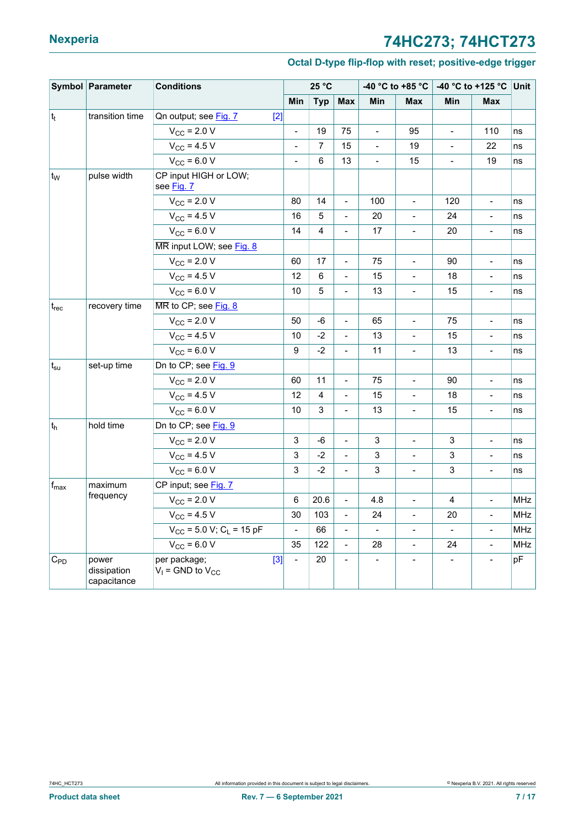|                  | Symbol Parameter                    | <b>Conditions</b>                                |                          | 25 °C          |                              |                          | -40 °C to +85 °C         | -40 °C to +125 °C Unit       |                              |            |
|------------------|-------------------------------------|--------------------------------------------------|--------------------------|----------------|------------------------------|--------------------------|--------------------------|------------------------------|------------------------------|------------|
|                  |                                     |                                                  | Min                      | <b>Typ</b>     | <b>Max</b>                   | Min                      | <b>Max</b>               | Min                          | <b>Max</b>                   |            |
| $ t_t $          | transition time                     | Qn output; see Fig. 7<br>$[2]$                   |                          |                |                              |                          |                          |                              |                              |            |
|                  |                                     | $V_{\text{CC}}$ = 2.0 V                          | $\overline{\phantom{a}}$ | 19             | 75                           | $\blacksquare$           | 95                       | $\qquad \qquad \blacksquare$ | 110                          | ns         |
|                  |                                     | $V_{CC}$ = 4.5 V                                 | $\overline{\phantom{a}}$ | $\overline{7}$ | 15                           | $\blacksquare$           | 19                       | $\overline{\phantom{0}}$     | 22                           | ns         |
|                  |                                     | $V_{\text{CC}}$ = 6.0 V                          | $\blacksquare$           | 6              | 13                           | $\blacksquare$           | 15                       | $\blacksquare$               | 19                           | ns         |
| $t_{W}$          | pulse width                         | CP input HIGH or LOW;<br>see Fig. 7              |                          |                |                              |                          |                          |                              |                              |            |
|                  |                                     | $V_{\text{CC}}$ = 2.0 V                          | 80                       | 14             | $\blacksquare$               | 100                      | $\frac{1}{2}$            | 120                          | $\overline{\phantom{a}}$     | ns         |
|                  |                                     | $V_{CC}$ = 4.5 V                                 | 16                       | 5              | $\blacksquare$               | 20                       |                          | 24                           | $\overline{a}$               | ns         |
|                  |                                     | $V_{CC}$ = 6.0 V                                 | 14                       | 4              |                              | 17                       |                          | 20                           |                              | ns         |
|                  |                                     | MR input LOW; see Fig. 8                         |                          |                |                              |                          |                          |                              |                              |            |
|                  |                                     | $V_{\rm CC}$ = 2.0 V                             | 60                       | 17             | $\frac{1}{2}$                | 75                       | $\blacksquare$           | 90                           | $\overline{a}$               | ns         |
|                  |                                     | $V_{CC}$ = 4.5 V                                 | 12                       | 6              | $\overline{a}$               | 15                       | $\blacksquare$           | 18                           | $\overline{\phantom{0}}$     | ns         |
|                  |                                     | $V_{\text{CC}}$ = 6.0 V                          | 10                       | 5              | $\overline{\phantom{0}}$     | 13                       | $\overline{\phantom{a}}$ | 15                           | $\frac{1}{2}$                | ns         |
| $t_{rec}$        | recovery time                       | MR to CP; see Fig. 8                             |                          |                |                              |                          |                          |                              |                              |            |
|                  |                                     | $V_{CC}$ = 2.0 V                                 | 50                       | -6             |                              | 65                       |                          | 75                           |                              | ns         |
|                  |                                     | $V_{CC}$ = 4.5 V                                 | 10                       | $-2$           | $\overline{a}$               | 13                       |                          | 15                           | $\frac{1}{2}$                | ns         |
|                  |                                     | $V_{CC}$ = 6.0 V                                 | 9                        | $-2$           | $\qquad \qquad \blacksquare$ | 11                       | $\blacksquare$           | 13                           | $\qquad \qquad \blacksquare$ | ns         |
| $t_{\rm su}$     | set-up time                         | Dn to CP; see Fig. 9                             |                          |                |                              |                          |                          |                              |                              |            |
|                  |                                     | $V_{CC}$ = 2.0 V                                 | 60                       | 11             | $\blacksquare$               | 75                       | $\overline{\phantom{a}}$ | 90                           | $\overline{\phantom{a}}$     | ns         |
|                  |                                     | $V_{\text{CC}}$ = 4.5 V                          | 12                       | 4              | $\overline{\phantom{0}}$     | 15                       |                          | 18                           |                              | ns         |
|                  |                                     | $V_{\text{CC}} = 6.0 V$                          | 10                       | 3              |                              | 13                       |                          | 15                           |                              | ns         |
| $ t_{h} $        | hold time                           | Dn to CP; see Fig. 9                             |                          |                |                              |                          |                          |                              |                              |            |
|                  |                                     | $V_{CC}$ = 2.0 V                                 | 3                        | -6             | $\overline{\phantom{0}}$     | 3                        | $\blacksquare$           | 3                            | $\overline{\phantom{0}}$     | ns         |
|                  |                                     | $V_{CC}$ = 4.5 V                                 | 3                        | $-2$           | $\qquad \qquad \blacksquare$ | 3                        | $\overline{\phantom{a}}$ | 3                            | $\frac{1}{2}$                | ns         |
|                  |                                     | $V_{CC}$ = 6.0 V                                 | 3                        | $-2$           | $\frac{1}{2}$                | 3                        | $\blacksquare$           | $\mathbf{3}$                 | $\frac{1}{2}$                | ns         |
| $f_{\text{max}}$ | maximum                             | CP input; see Fig. 7                             |                          |                |                              |                          |                          |                              |                              |            |
|                  | frequency                           | $V_{CC}$ = 2.0 V                                 | 6                        | 20.6           | $\qquad \qquad \blacksquare$ | 4.8                      | $\overline{\phantom{a}}$ | 4                            | $\blacksquare$               | <b>MHz</b> |
|                  |                                     | $V_{CC}$ = 4.5 V                                 | 30                       | 103            | $\blacksquare$               | 24                       | $\overline{\phantom{a}}$ | 20                           | $\frac{1}{2}$                | <b>MHz</b> |
|                  |                                     | $V_{CC}$ = 5.0 V; C <sub>L</sub> = 15 pF         | $\blacksquare$           | 66             | $\overline{a}$               | $\overline{\phantom{a}}$ |                          | $\blacksquare$               |                              | <b>MHz</b> |
|                  |                                     | $V_{CC}$ = 6.0 V                                 | 35                       | 122            | $\overline{\phantom{0}}$     | 28                       | $\blacksquare$           | 24                           | $\overline{\phantom{a}}$     | <b>MHz</b> |
| $C_{PD}$         | power<br>dissipation<br>capacitance | per package;<br>$[3]$<br>$V_1$ = GND to $V_{CC}$ | $\blacksquare$           | 20             | $\frac{1}{2}$                |                          |                          |                              | $\overline{a}$               | pF         |

# **Octal D-type flip-flop with reset; positive-edge trigger**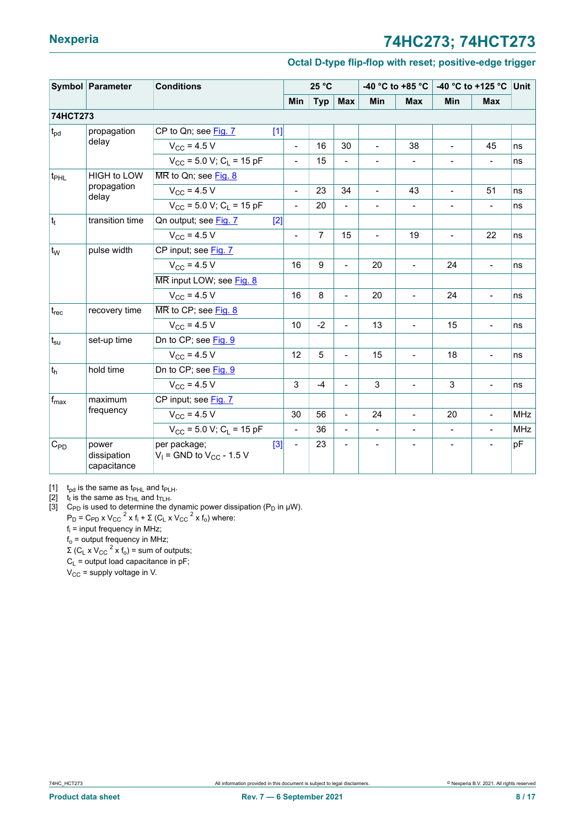<span id="page-7-0"></span>

| Symbol Parameter    |                                          | <b>Conditions</b>                                      |                | 25 °C          |                          | -40 °C to +85 °C             |                          | -40 °C to +125 °C Unit   |                              |            |
|---------------------|------------------------------------------|--------------------------------------------------------|----------------|----------------|--------------------------|------------------------------|--------------------------|--------------------------|------------------------------|------------|
|                     |                                          |                                                        | <b>Min</b>     | <b>Typ</b>     | <b>Max</b>               | Min                          | <b>Max</b>               | <b>Min</b>               | <b>Max</b>                   |            |
| 74HCT273            |                                          |                                                        |                |                |                          |                              |                          |                          |                              |            |
| $t_{\rm pd}$        | propagation                              | $[1]$<br>CP to Qn; see Fig. 7                          |                |                |                          |                              |                          |                          |                              |            |
|                     | delay                                    | $V_{\rm CC}$ = 4.5 V                                   |                | 16             | 30                       | $\overline{a}$               | 38                       |                          | 45                           | ns         |
|                     |                                          | $V_{CC}$ = 5.0 V; C <sub>1</sub> = 15 pF               | $\overline{a}$ | 15             |                          |                              |                          |                          | $\overline{a}$               | ns         |
| t <sub>PHL</sub>    | <b>HIGH to LOW</b>                       | $\overline{\text{MR}}$ to Qn; see Fig. 8               |                |                |                          |                              |                          |                          |                              |            |
|                     | propagation<br>delay                     | $V_{CC}$ = 4.5 V                                       | $\blacksquare$ | 23             | 34                       | $\frac{1}{2}$                | 43                       | $\overline{\phantom{a}}$ | 51                           | ns         |
|                     | $V_{CC}$ = 5.0 V; C <sub>1</sub> = 15 pF | $\overline{\phantom{0}}$                               | 20             |                | $\overline{\phantom{a}}$ | $\blacksquare$               |                          | $\overline{\phantom{0}}$ | ns                           |            |
| $ t_t $             | transition time                          | [2]<br>Qn output; see Fig. 7                           |                |                |                          |                              |                          |                          |                              |            |
|                     |                                          | $V_{\rm CC}$ = 4.5 V                                   | $\overline{a}$ | $\overline{7}$ | 15                       | $\overline{a}$               | 19                       | $\overline{a}$           | 22                           | ns         |
| $t_{\rm W}$         | pulse width                              | CP input; see Fig. 7                                   |                |                |                          |                              |                          |                          |                              |            |
|                     |                                          | $V_{CC}$ = 4.5 V                                       | 16             | 9              | $\blacksquare$           | 20                           | $\blacksquare$           | 24                       | $\overline{\phantom{a}}$     | ns         |
|                     |                                          | MR input LOW; see Fig. 8                               |                |                |                          |                              |                          |                          |                              |            |
|                     |                                          | $V_{\text{CC}}$ = 4.5 V                                | 16             | 8              |                          | 20                           | $\overline{a}$           | 24                       | $\overline{a}$               | ns         |
| $t_{rec}$           | recovery time                            | $\overline{\text{MR}}$ to CP; see Fig. 8               |                |                |                          |                              |                          |                          |                              |            |
|                     |                                          | $V_{CC}$ = 4.5 V                                       | 10             | $-2$           | $\overline{a}$           | 13                           | $\blacksquare$           | 15                       | $\overline{\phantom{0}}$     | ns         |
| $t_{\rm su}$        | set-up time                              | Dn to CP; see Fig. 9                                   |                |                |                          |                              |                          |                          |                              |            |
|                     |                                          | $V_{\rm CC}$ = 4.5 V                                   | 12             | 5              | $\blacksquare$           | 15                           | $\overline{\phantom{a}}$ | 18                       | $\qquad \qquad \blacksquare$ | ns         |
| t <sub>h</sub>      | hold time                                | Dn to CP; see Fig. 9                                   |                |                |                          |                              |                          |                          |                              |            |
|                     |                                          | $V_{CC}$ = 4.5 V                                       | 3              | $-4$           |                          | 3                            | $\overline{\phantom{a}}$ | 3                        | $\overline{\phantom{0}}$     | ns         |
| $f_{\text{max}}$    | maximum                                  | CP input; see Fig. 7                                   |                |                |                          |                              |                          |                          |                              |            |
|                     | frequency                                | $V_{CC}$ = 4.5 V                                       | 30             | 56             | $\overline{a}$           | 24                           | $\blacksquare$           | 20                       | $\overline{a}$               | <b>MHz</b> |
|                     |                                          | $V_{CC}$ = 5.0 V; C <sub>1</sub> = 15 pF               | $\blacksquare$ | 36             | $\blacksquare$           | $\overline{\phantom{a}}$     | $\overline{\phantom{a}}$ | $\overline{\phantom{a}}$ | $\frac{1}{2}$                | <b>MHz</b> |
| $ C_{\mathsf{PD}} $ | power<br>dissipation<br>capacitance      | [3]<br>per package;<br>$V_1$ = GND to $V_{CC}$ - 1.5 V | $\blacksquare$ | 23             | $\overline{\phantom{a}}$ | $\qquad \qquad \blacksquare$ | $\blacksquare$           | $\blacksquare$           | $\qquad \qquad \blacksquare$ | pF         |

## **Octal D-type flip-flop with reset; positive-edge trigger**

[1]  $\;$  t<sub>pd</sub> is the same as t<sub>PHL</sub> and t<sub>PLH</sub>.

[2]  $t_t$  is the same as  $t_{\text{THL}}$  and  $t_{\text{TLH}}$ .

[3]  $\,$  C<sub>PD</sub> is used to determine the dynamic power dissipation (P<sub>D</sub> in μW).

 $P_D$  = C<sub>PD</sub> x V<sub>CC</sub> <sup>2</sup> x f<sub>i</sub> + Σ (C<sub>L</sub> x V<sub>CC</sub> <sup>2</sup> x f<sub>o</sub>) where:

fi = input frequency in MHz;

 $f_0$  = output frequency in MHz;

 $\Sigma$  (C<sub>L</sub> x V<sub>CC</sub> <sup>2</sup> x f<sub>o</sub>) = sum of outputs;

 $C_{L}$  = output load capacitance in pF;

 $V_{CC}$  = supply voltage in V.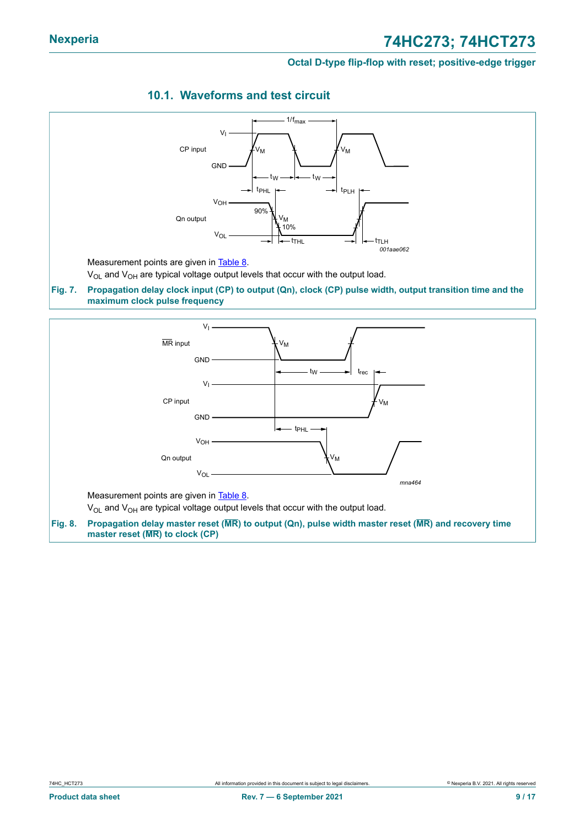<span id="page-8-0"></span>

# <span id="page-8-2"></span>**10.1. Waveforms and test circuit**

**Fig. 7. Propagation delay clock input (CP) to output (Qn), clock (CP) pulse width, output transition time and the maximum clock pulse frequency**

<span id="page-8-1"></span>

**Fig. 8. Propagation delay master reset (MR) to output (Qn), pulse width master reset (MR) and recovery time master reset (MR) to clock (CP)**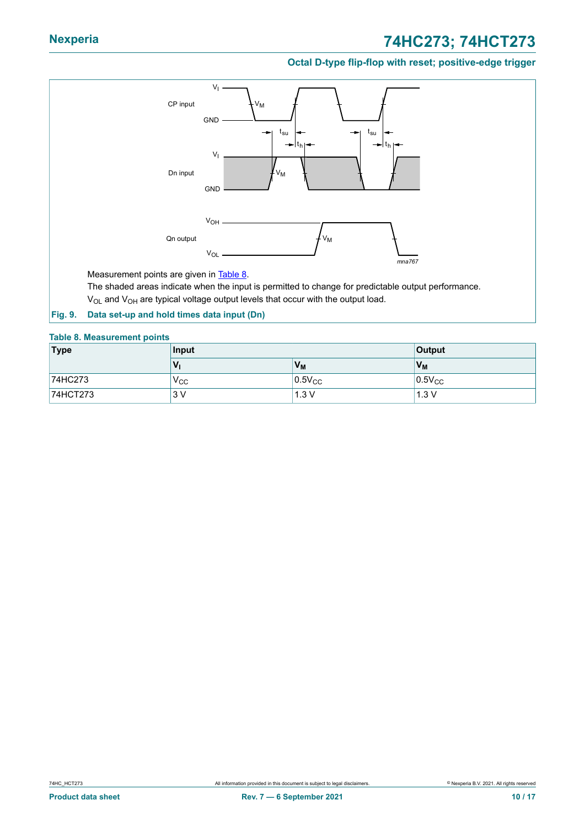# **Octal D-type flip-flop with reset; positive-edge trigger**

<span id="page-9-0"></span>

Measurement points are given in [Table](#page-9-1) 8.

<span id="page-9-1"></span>The shaded areas indicate when the input is permitted to change for predictable output performance. V<sub>OL</sub> and V<sub>OH</sub> are typical voltage output levels that occur with the output load.

#### **Fig. 9. Data set-up and hold times data input (Dn)**

#### **Table 8. Measurement points**

| <b>Type</b> | Input        | <b>Output</b> |             |
|-------------|--------------|---------------|-------------|
|             | V            | $V_{M}$       | $V_{M}$     |
| 74HC273     | $V_{\rm CC}$ | $0.5V_{CC}$   | $0.5V_{CC}$ |
| 74HCT273    | 3V           | 1.3V          | 1.3V        |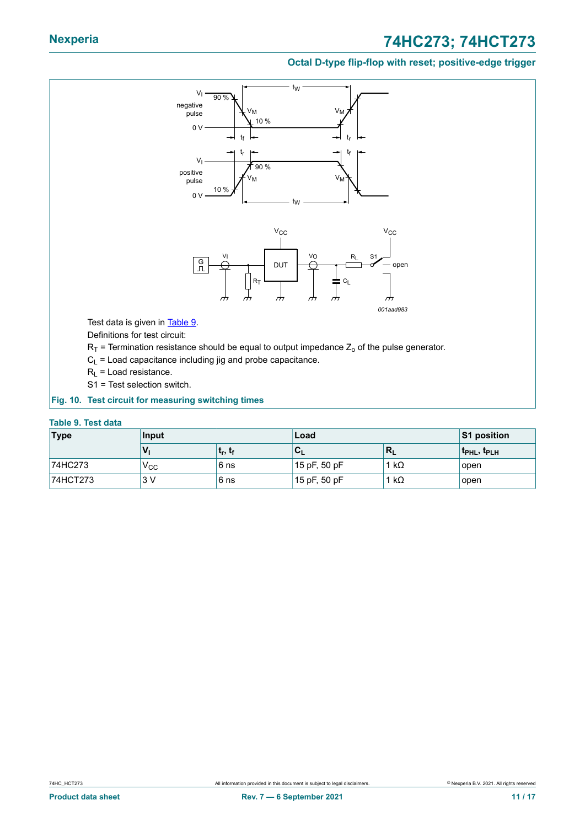# **Octal D-type flip-flop with reset; positive-edge trigger**

<span id="page-10-0"></span>

#### <span id="page-10-1"></span>**Table 9. Test data**

| Type     | Input        |                                   | Load         |                           | S1 position       |
|----------|--------------|-----------------------------------|--------------|---------------------------|-------------------|
|          | V.           | ∣ t <sub>r</sub> , t <sub>t</sub> | ັບ∟          | $\mathsf{R}_{\mathsf{L}}$ | <b>IPHL, IPLH</b> |
| '74HC273 | $V_{\rm CC}$ | 6 ns                              | 15 pF, 50 pF | 1 k $\Omega$              | open              |
| 74HCT273 | 3V           | 6 ns                              | 15 pF, 50 pF | 1 k $\Omega$              | open              |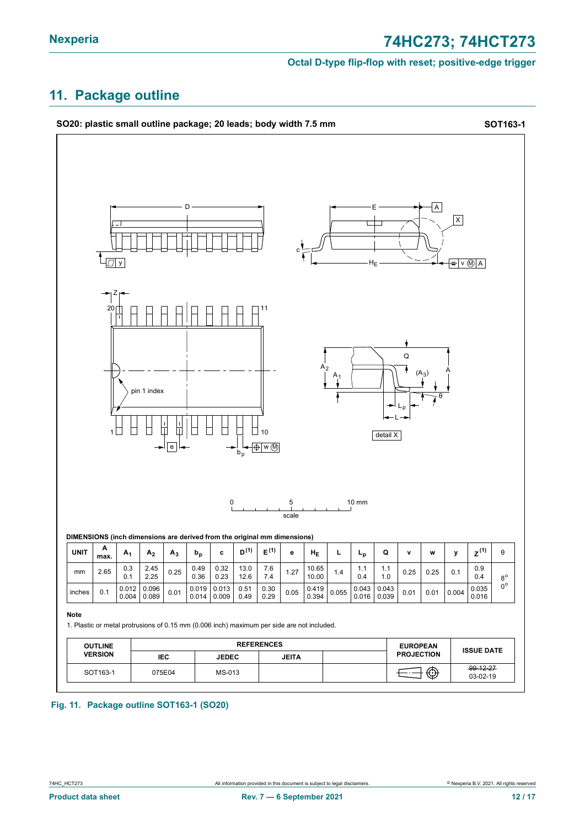# <span id="page-11-0"></span>**11. Package outline**



#### **Fig. 11. Package outline SOT163-1 (SO20)**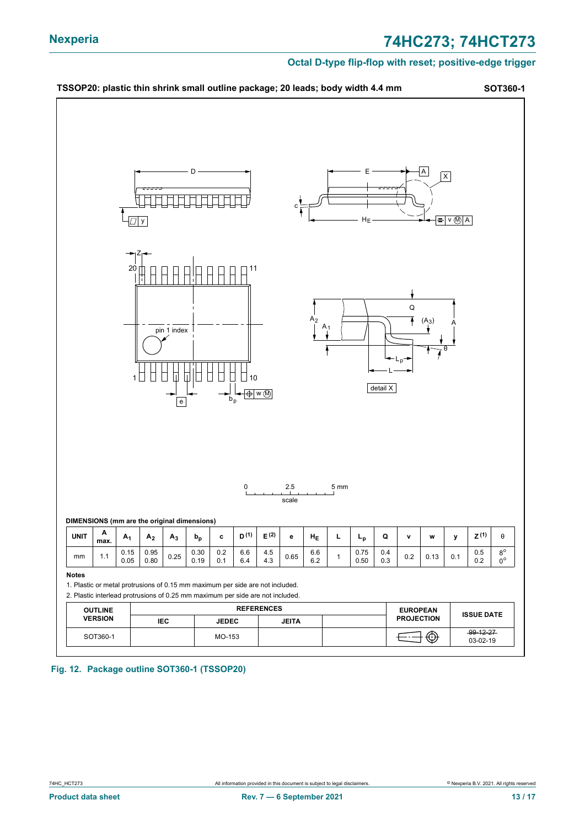# **Octal D-type flip-flop with reset; positive-edge trigger**



**Fig. 12. Package outline SOT360-1 (TSSOP20)**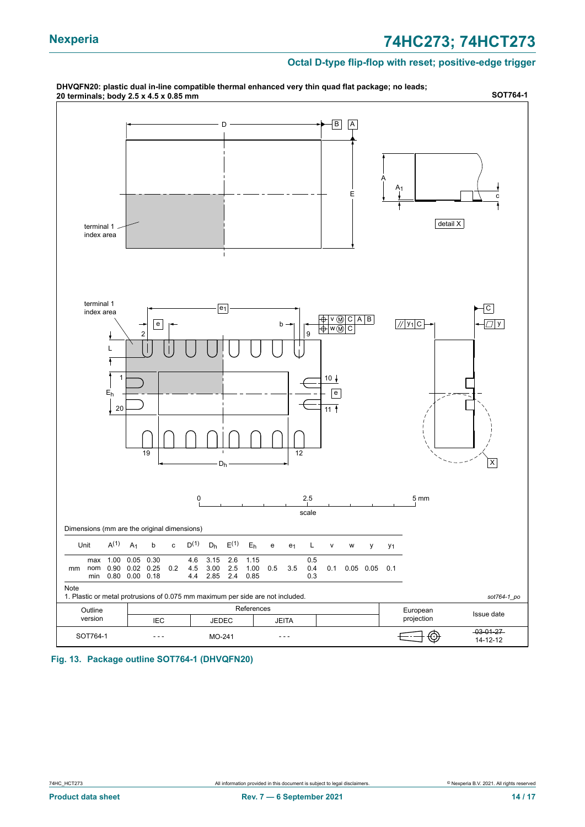## **Octal D-type flip-flop with reset; positive-edge trigger**



**Fig. 13. Package outline SOT764-1 (DHVQFN20)**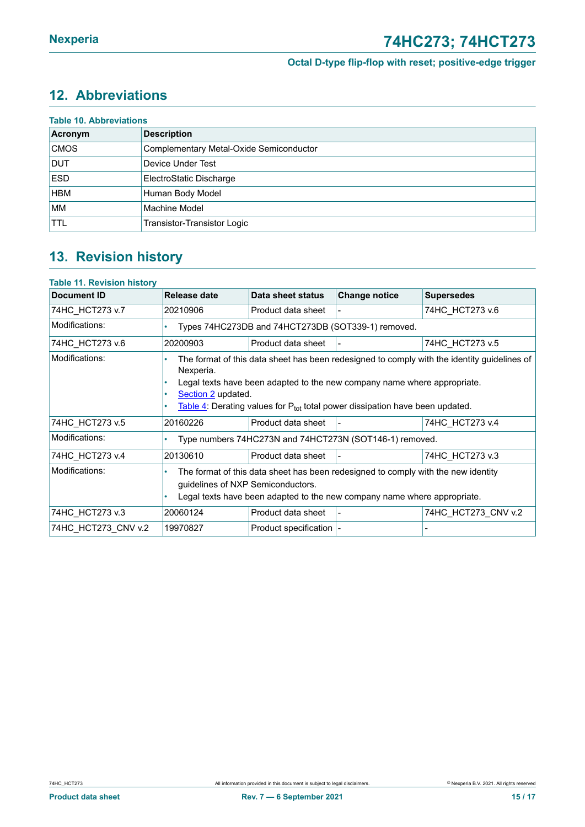# <span id="page-14-0"></span>**12. Abbreviations**

| Acronym     | <b>Description</b>                      |
|-------------|-----------------------------------------|
| <b>CMOS</b> | Complementary Metal-Oxide Semiconductor |
| <b>DUT</b>  | Device Under Test                       |
| <b>ESD</b>  | ElectroStatic Discharge                 |
| <b>HBM</b>  | Human Body Model                        |
| <b>MM</b>   | Machine Model                           |
| <b>TTL</b>  | Transistor-Transistor Logic             |

# <span id="page-14-1"></span>**13. Revision history**

| <b>Table 11. Revision history</b> |                                                                                                                                                                                                         |                          |                      |                     |  |
|-----------------------------------|---------------------------------------------------------------------------------------------------------------------------------------------------------------------------------------------------------|--------------------------|----------------------|---------------------|--|
| <b>Document ID</b>                | <b>Release date</b>                                                                                                                                                                                     | Data sheet status        | <b>Change notice</b> | <b>Supersedes</b>   |  |
| 74HC HCT273 v.7                   | 20210906                                                                                                                                                                                                | Product data sheet       |                      | 74HC HCT273 v.6     |  |
| Modifications:                    | Types 74HC273DB and 74HCT273DB (SOT339-1) removed.                                                                                                                                                      |                          |                      |                     |  |
| 74HC_HCT273 v.6                   | 20200903                                                                                                                                                                                                | Product data sheet       |                      | 74HC HCT273 v.5     |  |
| Modifications:                    | The format of this data sheet has been redesigned to comply with the identity guidelines of<br>Nexperia.                                                                                                |                          |                      |                     |  |
|                                   | Legal texts have been adapted to the new company name where appropriate.                                                                                                                                |                          |                      |                     |  |
|                                   | Section 2 updated.                                                                                                                                                                                      |                          |                      |                     |  |
|                                   | Table 4: Derating values for $P_{\text{tot}}$ total power dissipation have been updated.                                                                                                                |                          |                      |                     |  |
| 74HC_HCT273 v.5                   | 20160226                                                                                                                                                                                                | Product data sheet       |                      | 74HC HCT273 v.4     |  |
| Modifications:                    | Type numbers 74HC273N and 74HCT273N (SOT146-1) removed.                                                                                                                                                 |                          |                      |                     |  |
| 74HC HCT273 v.4                   | 20130610                                                                                                                                                                                                | Product data sheet       |                      | 74HC HCT273 v.3     |  |
| Modifications:                    | The format of this data sheet has been redesigned to comply with the new identity<br>٠<br>guidelines of NXP Semiconductors.<br>Legal texts have been adapted to the new company name where appropriate. |                          |                      |                     |  |
| 74HC HCT273 v.3                   | 20060124                                                                                                                                                                                                | Product data sheet       |                      | 74HC HCT273 CNV v.2 |  |
| 74HC HCT273 CNV v.2               | 19970827                                                                                                                                                                                                | Product specification  - |                      |                     |  |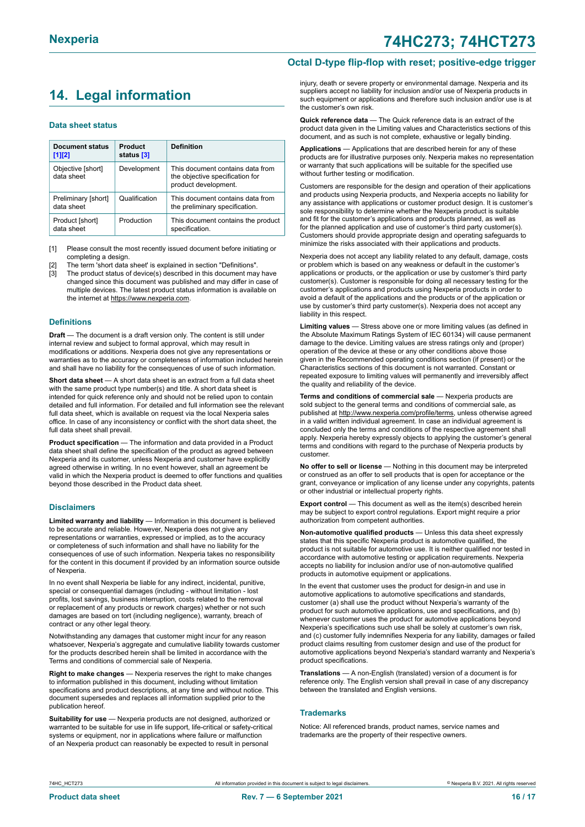# <span id="page-15-0"></span>**14. Legal information**

#### **Data sheet status**

| <b>Document status</b><br>$[1]$ [2] | <b>Product</b><br>status [3] | <b>Definition</b>                                                                           |
|-------------------------------------|------------------------------|---------------------------------------------------------------------------------------------|
| Objective [short]<br>data sheet     | Development                  | This document contains data from<br>the objective specification for<br>product development. |
| Preliminary [short]<br>data sheet   | Qualification                | This document contains data from<br>the preliminary specification.                          |
| Product [short]<br>data sheet       | Production                   | This document contains the product<br>specification.                                        |

[1] Please consult the most recently issued document before initiating or completing a design.

- The term 'short data sheet' is explained in section "Definitions"
- [3] The product status of device(s) described in this document may have changed since this document was published and may differ in case of multiple devices. The latest product status information is available on the internet at [https://www.nexperia.com.](https://www.nexperia.com)

#### **Definitions**

**Draft** — The document is a draft version only. The content is still under internal review and subject to formal approval, which may result in modifications or additions. Nexperia does not give any representations or warranties as to the accuracy or completeness of information included herein and shall have no liability for the consequences of use of such information.

**Short data sheet** — A short data sheet is an extract from a full data sheet with the same product type number(s) and title. A short data sheet is intended for quick reference only and should not be relied upon to contain detailed and full information. For detailed and full information see the relevant full data sheet, which is available on request via the local Nexperia sales office. In case of any inconsistency or conflict with the short data sheet, the full data sheet shall prevail.

**Product specification** — The information and data provided in a Product data sheet shall define the specification of the product as agreed between Nexperia and its customer, unless Nexperia and customer have explicitly agreed otherwise in writing. In no event however, shall an agreement be valid in which the Nexperia product is deemed to offer functions and qualities beyond those described in the Product data sheet.

#### **Disclaimers**

**Limited warranty and liability** — Information in this document is believed to be accurate and reliable. However, Nexperia does not give any representations or warranties, expressed or implied, as to the accuracy or completeness of such information and shall have no liability for the consequences of use of such information. Nexperia takes no responsibility for the content in this document if provided by an information source outside of Nexperia.

In no event shall Nexperia be liable for any indirect, incidental, punitive, special or consequential damages (including - without limitation - lost profits, lost savings, business interruption, costs related to the removal or replacement of any products or rework charges) whether or not such damages are based on tort (including negligence), warranty, breach of contract or any other legal theory.

Notwithstanding any damages that customer might incur for any reason whatsoever, Nexperia's aggregate and cumulative liability towards customer for the products described herein shall be limited in accordance with the Terms and conditions of commercial sale of Nexperia.

**Right to make changes** — Nexperia reserves the right to make changes to information published in this document, including without limitation specifications and product descriptions, at any time and without notice. This document supersedes and replaces all information supplied prior to the publication hereof

**Suitability for use** — Nexperia products are not designed, authorized or warranted to be suitable for use in life support, life-critical or safety-critical systems or equipment, nor in applications where failure or malfunction of an Nexperia product can reasonably be expected to result in personal

#### **Octal D-type flip-flop with reset; positive-edge trigger**

injury, death or severe property or environmental damage. Nexperia and its suppliers accept no liability for inclusion and/or use of Nexperia products in such equipment or applications and therefore such inclusion and/or use is at the customer's own risk.

**Quick reference data** — The Quick reference data is an extract of the product data given in the Limiting values and Characteristics sections of this document, and as such is not complete, exhaustive or legally binding.

**Applications** — Applications that are described herein for any of these products are for illustrative purposes only. Nexperia makes no representation or warranty that such applications will be suitable for the specified use without further testing or modification.

Customers are responsible for the design and operation of their applications and products using Nexperia products, and Nexperia accepts no liability for any assistance with applications or customer product design. It is customer's sole responsibility to determine whether the Nexperia product is suitable and fit for the customer's applications and products planned, as well as for the planned application and use of customer's third party customer(s). Customers should provide appropriate design and operating safeguards to minimize the risks associated with their applications and products.

Nexperia does not accept any liability related to any default, damage, costs or problem which is based on any weakness or default in the customer's applications or products, or the application or use by customer's third party customer(s). Customer is responsible for doing all necessary testing for the customer's applications and products using Nexperia products in order to avoid a default of the applications and the products or of the application or use by customer's third party customer(s). Nexperia does not accept any liability in this respect.

**Limiting values** — Stress above one or more limiting values (as defined in the Absolute Maximum Ratings System of IEC 60134) will cause permanent damage to the device. Limiting values are stress ratings only and (proper) operation of the device at these or any other conditions above those given in the Recommended operating conditions section (if present) or the Characteristics sections of this document is not warranted. Constant or repeated exposure to limiting values will permanently and irreversibly affect the quality and reliability of the device.

**Terms and conditions of commercial sale** — Nexperia products are sold subject to the general terms and conditions of commercial sale, as published at [http://www.nexperia.com/profile/terms,](http://www.nexperia.com/profile/terms) unless otherwise agreed in a valid written individual agreement. In case an individual agreement is concluded only the terms and conditions of the respective agreement shall apply. Nexperia hereby expressly objects to applying the customer's general terms and conditions with regard to the purchase of Nexperia products by customer.

**No offer to sell or license** — Nothing in this document may be interpreted or construed as an offer to sell products that is open for acceptance or the grant, conveyance or implication of any license under any copyrights, patents or other industrial or intellectual property rights.

**Export control** — This document as well as the item(s) described herein may be subject to export control regulations. Export might require a prior authorization from competent authorities.

**Non-automotive qualified products** — Unless this data sheet expressly states that this specific Nexperia product is automotive qualified, the product is not suitable for automotive use. It is neither qualified nor tested in accordance with automotive testing or application requirements. Nexperia accepts no liability for inclusion and/or use of non-automotive qualified products in automotive equipment or applications.

In the event that customer uses the product for design-in and use in automotive applications to automotive specifications and standards, customer (a) shall use the product without Nexperia's warranty of the product for such automotive applications, use and specifications, and (b) whenever customer uses the product for automotive applications beyond Nexperia's specifications such use shall be solely at customer's own risk, and (c) customer fully indemnifies Nexperia for any liability, damages or failed product claims resulting from customer design and use of the product for automotive applications beyond Nexperia's standard warranty and Nexperia's product specifications.

**Translations** — A non-English (translated) version of a document is for reference only. The English version shall prevail in case of any discrepancy between the translated and English versions.

#### **Trademarks**

Notice: All referenced brands, product names, service names and trademarks are the property of their respective owners.